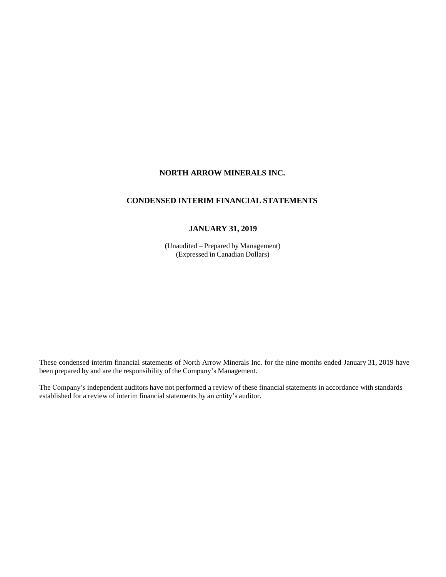# **NORTH ARROW MINERALS INC.**

# **CONDENSED INTERIM FINANCIAL STATEMENTS**

# **JANUARY 31, 2019**

(Unaudited – Prepared by Management) (Expressed in Canadian Dollars)

These condensed interim financial statements of North Arrow Minerals Inc. for the nine months ended January 31, 2019 have been prepared by and are the responsibility of the Company's Management.

The Company's independent auditors have not performed a review of these financial statements in accordance with standards established for a review of interim financial statements by an entity's auditor.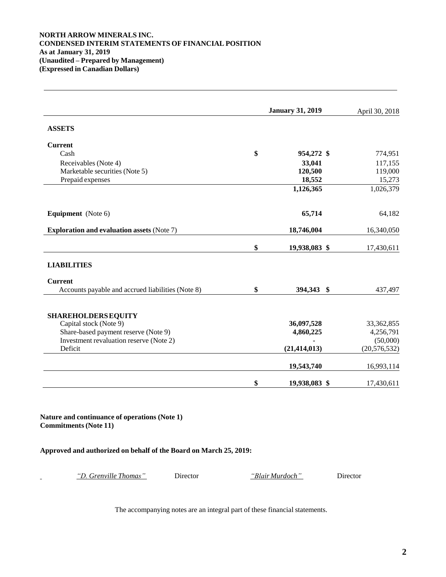### **NORTH ARROW MINERALS INC. CONDENSED INTERIM STATEMENTS OF FINANCIAL POSITION As at January 31, 2019 (Unaudited – Prepared by Management) (Expressed in Canadian Dollars)**

|                                                   | <b>January 31, 2019</b> |                |
|---------------------------------------------------|-------------------------|----------------|
| <b>ASSETS</b>                                     |                         |                |
| <b>Current</b>                                    |                         |                |
| Cash                                              | \$<br>954,272 \$        | 774,951        |
| Receivables (Note 4)                              | 33,041                  | 117,155        |
| Marketable securities (Note 5)                    | 120,500                 | 119,000        |
| Prepaid expenses                                  | 18,552                  | 15,273         |
|                                                   | 1,126,365               | 1,026,379      |
| <b>Equipment</b> (Note 6)                         | 65,714                  | 64,182         |
| <b>Exploration and evaluation assets (Note 7)</b> | 18,746,004              | 16,340,050     |
|                                                   | \$<br>19,938,083 \$     | 17,430,611     |
| <b>LIABILITIES</b>                                |                         |                |
| <b>Current</b>                                    |                         |                |
| Accounts payable and accrued liabilities (Note 8) | \$<br>394,343 \$        | 437,497        |
| <b>SHAREHOLDERS EQUITY</b>                        |                         |                |
| Capital stock (Note 9)                            | 36,097,528              | 33, 362, 855   |
| Share-based payment reserve (Note 9)              | 4,860,225               | 4,256,791      |
| Investment revaluation reserve (Note 2)           |                         | (50,000)       |
| Deficit                                           | (21, 414, 013)          | (20, 576, 532) |
|                                                   | 19,543,740              | 16,993,114     |
|                                                   | \$<br>19,938,083 \$     | 17,430,611     |

**Nature and continuance of operations (Note 1) Commitments(Note 11)**

**Approved and authorized on behalf of the Board on March 25, 2019:**

*"D. Grenville Thomas"* Director *"Blair Murdoch"* Director

The accompanying notes are an integral part of these financial statements.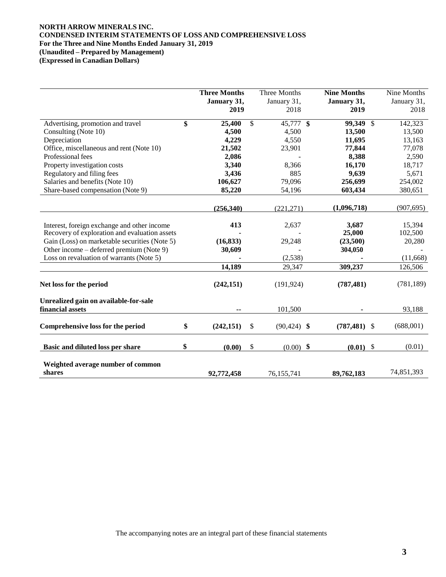# **NORTH ARROW MINERALS INC. CONDENSED INTERIM STATEMENTS OF LOSS AND COMPREHENSIVE LOSS For the Three and Nine Months Ended January 31, 2019 (Unaudited – Prepared by Management)**

**(Expressed in Canadian Dollars)**

|                                                           | <b>Three Months</b><br>January 31,<br>2019 | Three Months<br>January 31,<br>2018 | <b>Nine Months</b><br>January 31,<br>2019 | Nine Months<br>January 31,<br>2018 |
|-----------------------------------------------------------|--------------------------------------------|-------------------------------------|-------------------------------------------|------------------------------------|
| Advertising, promotion and travel                         | \$<br>25,400                               | \$<br>$45,777$ \$                   | 99,349<br>$\mathbb{S}$                    | 142,323                            |
| Consulting (Note 10)                                      | 4,500                                      | 4,500                               | 13,500                                    | 13,500                             |
| Depreciation                                              | 4,229                                      | 4,550                               | 11,695                                    | 13,163                             |
| Office, miscellaneous and rent (Note 10)                  | 21,502                                     | 23,901                              | 77,844                                    | 77,078                             |
| Professional fees                                         | 2,086                                      |                                     | 8,388                                     | 2,590                              |
| Property investigation costs                              | 3,340                                      | 8,366                               | 16,170                                    | 18,717                             |
| Regulatory and filing fees                                | 3,436                                      | 885                                 | 9,639                                     | 5,671                              |
| Salaries and benefits (Note 10)                           | 106,627                                    | 79,096                              | 256,699                                   | 254,002                            |
| Share-based compensation (Note 9)                         | 85,220                                     | 54,196                              | 603,434                                   | 380,651                            |
|                                                           | (256,340)                                  | (221, 271)                          | (1,096,718)                               | (907, 695)                         |
| Interest, foreign exchange and other income               | 413                                        | 2,637                               | 3,687                                     | 15,394                             |
| Recovery of exploration and evaluation assets             |                                            |                                     | 25,000                                    | 102,500                            |
| Gain (Loss) on marketable securities (Note 5)             | (16, 833)                                  | 29,248                              | (23,500)                                  | 20,280                             |
| Other income – deferred premium (Note 9)                  | 30,609                                     |                                     | 304,050                                   |                                    |
| Loss on revaluation of warrants (Note 5)                  |                                            | (2,538)                             |                                           | (11,668)                           |
|                                                           | 14,189                                     | 29,347                              | 309,237                                   | 126,506                            |
| Net loss for the period                                   | (242, 151)                                 | (191, 924)                          | (787, 481)                                | (781, 189)                         |
| Unrealized gain on available-for-sale<br>financial assets |                                            | 101,500                             |                                           | 93,188                             |
| Comprehensive loss for the period                         | \$<br>(242, 151)                           | \$<br>$(90, 424)$ \$                | $(787, 481)$ \$                           | (688,001)                          |
| Basic and diluted loss per share                          | \$<br>(0.00)                               | \$<br>$\mathbf{\$}$<br>(0.00)       | \$<br>(0.01)                              | (0.01)                             |
| Weighted average number of common<br>shares               | 92,772,458                                 | 76,155,741                          | 89,762,183                                | 74,851,393                         |

The accompanying notes are an integral part of these financial statements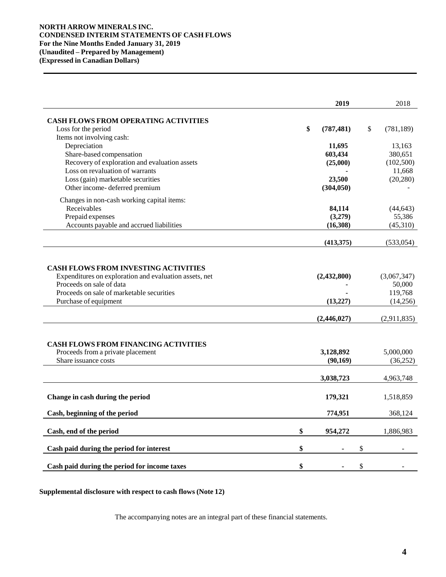## **NORTH ARROW MINERALS INC. CONDENSED INTERIM STATEMENTS OF CASH FLOWS For the Nine Months Ended January 31, 2019 (Unaudited – Prepared by Management) (Expressed in Canadian Dollars)**

|                                                                                                                                                                                                         | 2019                                   | 2018                                                        |
|---------------------------------------------------------------------------------------------------------------------------------------------------------------------------------------------------------|----------------------------------------|-------------------------------------------------------------|
| <b>CASH FLOWS FROM OPERATING ACTIVITIES</b>                                                                                                                                                             |                                        |                                                             |
| Loss for the period                                                                                                                                                                                     | \$<br>(787, 481)                       | \$<br>(781, 189)                                            |
| Items not involving cash:                                                                                                                                                                               |                                        |                                                             |
| Depreciation                                                                                                                                                                                            | 11,695                                 | 13,163                                                      |
| Share-based compensation                                                                                                                                                                                | 603,434                                | 380,651                                                     |
| Recovery of exploration and evaluation assets                                                                                                                                                           | (25,000)                               | (102, 500)                                                  |
| Loss on revaluation of warrants                                                                                                                                                                         |                                        | 11,668                                                      |
| Loss (gain) marketable securities                                                                                                                                                                       | 23,500                                 | (20, 280)                                                   |
| Other income-deferred premium                                                                                                                                                                           | (304, 050)                             |                                                             |
| Changes in non-cash working capital items:                                                                                                                                                              |                                        |                                                             |
| Receivables                                                                                                                                                                                             | 84,114                                 | (44, 643)                                                   |
| Prepaid expenses                                                                                                                                                                                        | (3,279)                                | 55,386                                                      |
| Accounts payable and accrued liabilities                                                                                                                                                                | (16,308)                               | (45,310)                                                    |
|                                                                                                                                                                                                         | (413,375)                              | (533, 054)                                                  |
| <b>CASH FLOWS FROM INVESTING ACTIVITIES</b><br>Expenditures on exploration and evaluation assets, net<br>Proceeds on sale of data<br>Proceeds on sale of marketable securities<br>Purchase of equipment | (2,432,800)<br>(13,227)<br>(2,446,027) | (3,067,347)<br>50,000<br>119,768<br>(14,256)<br>(2,911,835) |
|                                                                                                                                                                                                         |                                        |                                                             |
| <b>CASH FLOWS FROM FINANCING ACTIVITIES</b>                                                                                                                                                             |                                        |                                                             |
| Proceeds from a private placement                                                                                                                                                                       | 3,128,892                              | 5,000,000                                                   |
| Share issuance costs                                                                                                                                                                                    | (90, 169)                              | (36,252)                                                    |
|                                                                                                                                                                                                         | 3,038,723                              | 4,963,748                                                   |
| Change in cash during the period                                                                                                                                                                        | 179,321                                |                                                             |
|                                                                                                                                                                                                         |                                        | 1,518,859                                                   |
| Cash, beginning of the period                                                                                                                                                                           | 774,951                                | 368,124                                                     |
| Cash, end of the period                                                                                                                                                                                 | \$<br>954,272                          | 1,886,983                                                   |
| Cash paid during the period for interest                                                                                                                                                                | \$                                     | \$                                                          |
| Cash paid during the period for income taxes                                                                                                                                                            | \$                                     | \$                                                          |

**Supplemental disclosure with respect to cash flows (Note 12)**

The accompanying notes are an integral part of these financial statements.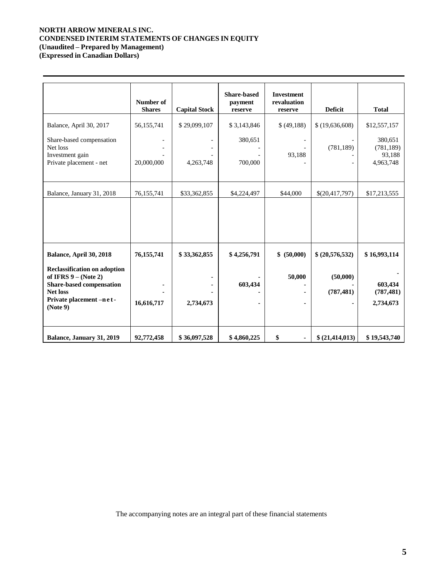# **NORTH ARROW MINERALS INC. CONDENSED INTERIM STATEMENTS OF CHANGES IN EQUITY (Unaudited – Prepared by Management)**

**(Expressed in Canadian Dollars)**

| Balance, April 30, 2017<br>Share-based compensation<br>Net loss<br>Investment gain<br>Private placement - net<br>Balance, January 31, 2018                                               | Number of<br><b>Shares</b><br>56,155,741<br>20,000,000<br>76,155,741 | <b>Capital Stock</b><br>\$29,099,107<br>4,263,748<br>\$33,362,855 | <b>Share-based</b><br>payment<br>reserve<br>\$3,143,846<br>380,651<br>700,000<br>\$4,224,497 | <b>Investment</b><br>revaluation<br>reserve<br>\$(49,188)<br>$\overline{\phantom{a}}$<br>93,188<br>\$44,000 | <b>Deficit</b><br>\$(19,636,608)<br>(781, 189)<br>\$(20,417,797) | <b>Total</b><br>\$12,557,157<br>380,651<br>(781, 189)<br>93,188<br>4,963,748<br>\$17,213,555 |
|------------------------------------------------------------------------------------------------------------------------------------------------------------------------------------------|----------------------------------------------------------------------|-------------------------------------------------------------------|----------------------------------------------------------------------------------------------|-------------------------------------------------------------------------------------------------------------|------------------------------------------------------------------|----------------------------------------------------------------------------------------------|
| Balance, April 30, 2018<br><b>Reclassification on adoption</b><br>of IFRS $9 - (Note 2)$<br><b>Share-based compensation</b><br><b>Net loss</b><br>Private placement -n e t -<br>(Note 9) | 76, 155, 741<br>16,616,717                                           | \$33,362,855<br>2,734,673                                         | \$4,256,791<br>603,434                                                                       | \$ (50,000)<br>50,000<br>۰                                                                                  | \$ (20,576,532)<br>(50,000)<br>(787, 481)                        | \$16,993,114<br>603,434<br>(787, 481)<br>2,734,673                                           |
| Balance, January 31, 2019                                                                                                                                                                | 92,772,458                                                           | \$36,097,528                                                      | \$4,860,225                                                                                  | \$<br>٠                                                                                                     | \$ (21,414,013)                                                  | \$19,543,740                                                                                 |

The accompanying notes are an integral part of these financial statements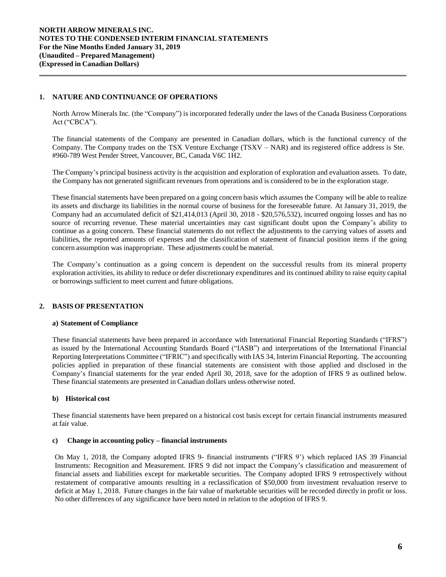## **1. NATURE AND CONTINUANCE OF OPERATIONS**

North Arrow Minerals Inc. (the "Company") is incorporated federally under the laws of the Canada Business Corporations Act ("CBCA").

The financial statements of the Company are presented in Canadian dollars, which is the functional currency of the Company. The Company trades on the TSX Venture Exchange (TSXV – NAR) and its registered office address is Ste. #960-789 West Pender Street, Vancouver, BC, Canada V6C 1H2.

The Company's principal business activity is the acquisition and exploration of exploration and evaluation assets. To date, the Company has not generated significant revenues from operations and is considered to be in the exploration stage.

These financial statements have been prepared on a going concern basis which assumes the Company will be able to realize its assets and discharge its liabilities in the normal course of business for the foreseeable future. At January 31, 2019, the Company had an accumulated deficit of \$21,414,013 (April 30, 2018 - \$20,576,532), incurred ongoing losses and has no source of recurring revenue. These material uncertainties may cast significant doubt upon the Company's ability to continue as a going concern. These financial statements do not reflect the adjustments to the carrying values of assets and liabilities, the reported amounts of expenses and the classification of statement of financial position items if the going concern assumption was inappropriate. These adjustments could be material.

The Company's continuation as a going concern is dependent on the successful results from its mineral property exploration activities, its ability to reduce or defer discretionary expenditures and its continued ability to raise equity capital or borrowings sufficient to meet current and future obligations.

# **2. BASIS OF PRESENTATION**

### **a) Statement of Compliance**

These financial statements have been prepared in accordance with International Financial Reporting Standards ("IFRS") as issued by the International Accounting Standards Board ("IASB") and interpretations of the International Financial Reporting Interpretations Committee ("IFRIC") and specifically with IAS 34, Interim Financial Reporting. The accounting policies applied in preparation of these financial statements are consistent with those applied and disclosed in the Company's financial statements for the year ended April 30, 2018, save for the adoption of IFRS 9 as outlined below. These financial statements are presented in Canadian dollars unless otherwise noted.

# **b) Historical cost**

These financial statements have been prepared on a historical cost basis except for certain financial instruments measured at fair value.

### **c) Change in accounting policy – financial instruments**

On May 1, 2018, the Company adopted IFRS 9- financial instruments ("IFRS 9') which replaced IAS 39 Financial Instruments: Recognition and Measurement. IFRS 9 did not impact the Company's classification and measurement of financial assets and liabilities except for marketable securities. The Company adopted IFRS 9 retrospectively without restatement of comparative amounts resulting in a reclassification of \$50,000 from investment revaluation reserve to deficit at May 1, 2018. Future changes in the fair value of marketable securities will be recorded directly in profit or loss. No other differences of any significance have been noted in relation to the adoption of IFRS 9.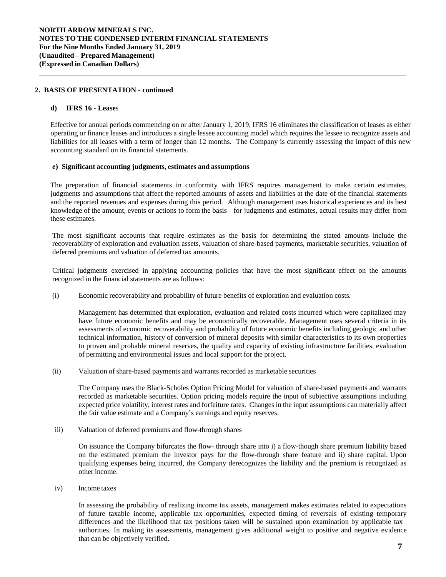### **2. BASIS OF PRESENTATION - continued**

### **d) IFRS 16 - Lease**s

Effective for annual periods commencing on or after January 1, 2019, IFRS 16 eliminates the classification of leases as either operating or finance leases and introduces a single lessee accounting model which requires the lessee to recognize assets and liabilities for all leases with a term of longer than 12 months. The Company is currently assessing the impact of this new accounting standard on its financial statements.

### **e) Significant accounting judgments, estimates and assumptions**

The preparation of financial statements in conformity with IFRS requires management to make certain estimates, judgments and assumptions that affect the reported amounts of assets and liabilities at the date of the financial statements and the reported revenues and expenses during this period. Although management uses historical experiences and its best knowledge of the amount, events or actions to form the basis for judgments and estimates, actual results may differ from these estimates.

The most significant accounts that require estimates as the basis for determining the stated amounts include the recoverability of exploration and evaluation assets, valuation of share-based payments, marketable securities, valuation of deferred premiums and valuation of deferred tax amounts.

Critical judgments exercised in applying accounting policies that have the most significant effect on the amounts recognized in the financial statements are as follows:

(i) Economic recoverability and probability of future benefits of exploration and evaluation costs*.*

Management has determined that exploration, evaluation and related costs incurred which were capitalized may have future economic benefits and may be economically recoverable. Management uses several criteria in its assessments of economic recoverability and probability of future economic benefits including geologic and other technical information, history of conversion of mineral deposits with similar characteristics to its own properties to proven and probable mineral reserves, the quality and capacity of existing infrastructure facilities, evaluation of permitting and environmental issues and local support for the project.

(ii) Valuation of share-based payments and warrants recorded as marketable securities

The Company uses the Black-Scholes Option Pricing Model for valuation of share-based payments and warrants recorded as marketable securities. Option pricing models require the input of subjective assumptions including expected price volatility, interest rates and forfeiture rates. Changes in the input assumptions can materially affect the fair value estimate and a Company's earnings and equity reserves.

iii) Valuation of deferred premiums and flow-through shares

On issuance the Company bifurcates the flow- through share into i) a flow-though share premium liability based on the estimated premium the investor pays for the flow-through share feature and ii) share capital. Upon qualifying expenses being incurred, the Company derecognizes the liability and the premium is recognized as other income.

iv) Income taxes

In assessing the probability of realizing income tax assets, management makes estimates related to expectations of future taxable income, applicable tax opportunities, expected timing of reversals of existing temporary differences and the likelihood that tax positions taken will be sustained upon examination by applicable tax authorities. In making its assessments, management gives additional weight to positive and negative evidence that can be objectively verified.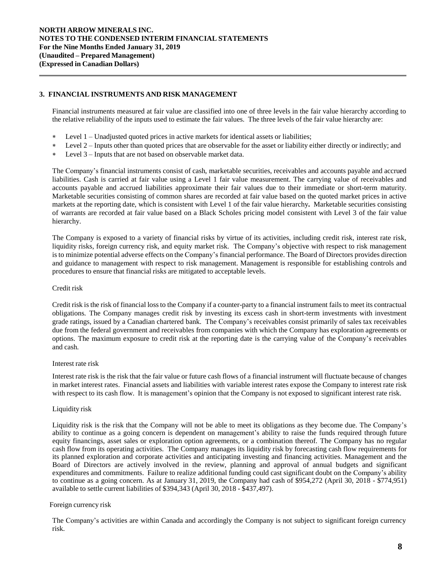# **3. FINANCIAL INSTRUMENTS AND RISK MANAGEMENT**

Financial instruments measured at fair value are classified into one of three levels in the fair value hierarchy according to the relative reliability of the inputs used to estimate the fair values. The three levels of the fair value hierarchy are:

- Level 1 Unadjusted quoted prices in active markets for identical assets or liabilities;
- Level 2 Inputs other than quoted prices that are observable for the asset or liability either directly or indirectly; and
- Level 3 Inputs that are not based on observable market data.

The Company's financial instruments consist of cash, marketable securities, receivables and accounts payable and accrued liabilities. Cash is carried at fair value using a Level 1 fair value measurement. The carrying value of receivables and accounts payable and accrued liabilities approximate their fair values due to their immediate or short-term maturity. Marketable securities consisting of common shares are recorded at fair value based on the quoted market prices in active markets at the reporting date, which is consistent with Level 1 of the fair value hierarchy**.** Marketable securities consisting of warrants are recorded at fair value based on a Black Scholes pricing model consistent with Level 3 of the fair value hierarchy.

The Company is exposed to a variety of financial risks by virtue of its activities, including credit risk, interest rate risk, liquidity risks, foreign currency risk, and equity market risk. The Company's objective with respect to risk management isto minimize potential adverse effects on the Company's financial performance. The Board of Directors provides direction and guidance to management with respect to risk management. Management is responsible for establishing controls and procedures to ensure that financial risks are mitigated to acceptable levels.

### Credit risk

Credit risk isthe risk of financial lossto the Company if a counter-party to a financial instrument fails to meet its contractual obligations. The Company manages credit risk by investing its excess cash in short-term investments with investment grade ratings, issued by a Canadian chartered bank. The Company's receivables consist primarily of sales tax receivables due from the federal government and receivables from companies with which the Company has exploration agreements or options. The maximum exposure to credit risk at the reporting date is the carrying value of the Company's receivables and cash.

### Interest rate risk

Interest rate risk is the risk that the fair value or future cash flows of a financial instrument will fluctuate because of changes in market interest rates. Financial assets and liabilities with variable interest rates expose the Company to interest rate risk with respect to its cash flow. It is management's opinion that the Company is not exposed to significant interest rate risk.

### Liquidity risk

Liquidity risk is the risk that the Company will not be able to meet its obligations as they become due. The Company's ability to continue as a going concern is dependent on management's ability to raise the funds required through future equity financings, asset sales or exploration option agreements, or a combination thereof. The Company has no regular cash flow from its operating activities. The Company manages its liquidity risk by forecasting cash flow requirements for its planned exploration and corporate activities and anticipating investing and financing activities. Management and the Board of Directors are actively involved in the review, planning and approval of annual budgets and significant expenditures and commitments. Failure to realize additional funding could cast significant doubt on the Company's ability to continue as a going concern. As at January 31, 2019, the Company had cash of \$954,272 (April 30, 2018 - \$774,951) available to settle current liabilities of \$394,343 (April 30, 2018 - \$437,497).

# Foreign currency risk

The Company's activities are within Canada and accordingly the Company is not subject to significant foreign currency risk.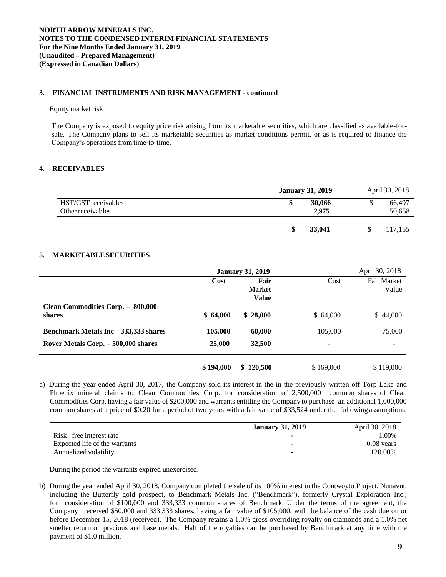# **3. FINANCIAL INSTRUMENTS AND RISK MANAGEMENT - continued**

#### Equity market risk

The Company is exposed to equity price risk arising from its marketable securities, which are classified as available-forsale. The Company plans to sell its marketable securities as market conditions permit, or as is required to finance the Company's operations from time-to-time.

# **4. RECEIVABLES**

|                                          | <b>January 31, 2019</b> |                 | April 30, 2018   |
|------------------------------------------|-------------------------|-----------------|------------------|
| HST/GST receivables<br>Other receivables |                         | 30,066<br>2,975 | 66,497<br>50,658 |
|                                          |                         | 33,041          | 117,155          |

### **5. MARKETABLESECURITIES**

|                                       |           | <b>January 31, 2019</b> |                          | April 30, 2018     |
|---------------------------------------|-----------|-------------------------|--------------------------|--------------------|
|                                       | Cost      | Fair                    | Cost                     | <b>Fair Market</b> |
|                                       |           | <b>Market</b>           |                          | Value              |
|                                       |           | <b>Value</b>            |                          |                    |
| Clean Commodities Corp. - 800,000     |           |                         |                          |                    |
| shares                                | \$64,000  | \$28,000                | \$64,000                 | \$44,000           |
| Benchmark Metals Inc – 333,333 shares | 105,000   | 60,000                  | 105,000                  | 75,000             |
| Rover Metals Corp. - 500,000 shares   | 25,000    | 32,500                  | $\overline{\phantom{0}}$ | -                  |
|                                       | \$194,000 | 120,500<br>SS.          | \$169,000                | \$119,000          |

a) During the year ended April 30, 2017, the Company sold its interest in the in the previously written off Torp Lake and Phoenix mineral claims to Clean Commodities Corp. for consideration of 2,500,000 common shares of Clean Commodities Corp. having a fair value of \$200,000 and warrants entitling the Company to purchase an additional 1,000,000 common shares at a price of \$0.20 for a period of two years with a fair value of \$33,524 under the following assumptions.

|                               | <b>January 31, 2019</b> | April 30, 2018 |
|-------------------------------|-------------------------|----------------|
| Risk-free interest rate       |                         | $00\%$         |
| Expected life of the warrants |                         | $0.08$ years   |
| Annualized volatility         |                         | 120.00%        |

During the period the warrants expired unexercised.

b) During the year ended April 30, 2018, Company completed the sale of its 100% interest in the Contwoyto Project, Nunavut, including the Butterfly gold prospect, to Benchmark Metals Inc. ("Benchmark"), formerly Crystal Exploration Inc., for consideration of \$100,000 and 333,333 common shares of Benchmark. Under the terms of the agreement, the Company received \$50,000 and 333,333 shares, having a fair value of \$105,000, with the balance of the cash due on or before December 15, 2018 (received). The Company retains a 1.0% gross overriding royalty on diamonds and a 1.0% net smelter return on precious and base metals. Half of the royalties can be purchased by Benchmark at any time with the payment of \$1.0 million.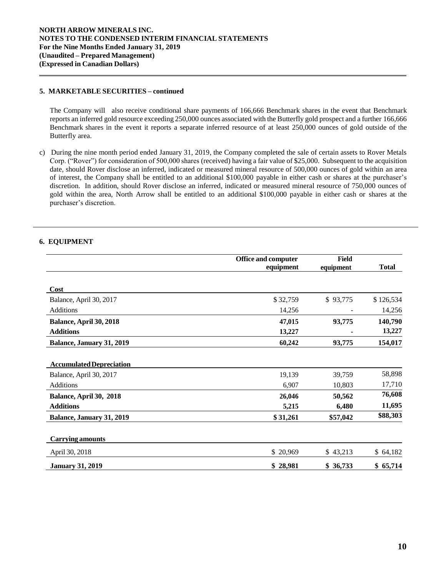### **5. MARKETABLE SECURITIES – continued**

The Company will also receive conditional share payments of 166,666 Benchmark shares in the event that Benchmark reports an inferred gold resource exceeding 250,000 ounces associated with the Butterfly gold prospect and a further 166,666 Benchmark shares in the event it reports a separate inferred resource of at least 250,000 ounces of gold outside of the Butterfly area.

c) During the nine month period ended January 31, 2019, the Company completed the sale of certain assets to Rover Metals Corp. ("Rover") for consideration of 500,000 shares (received) having a fair value of \$25,000. Subsequent to the acquisition date, should Rover disclose an inferred, indicated or measured mineral resource of 500,000 ounces of gold within an area of interest, the Company shall be entitled to an additional \$100,000 payable in either cash or shares at the purchaser's discretion. In addition, should Rover disclose an inferred, indicated or measured mineral resource of 750,000 ounces of gold within the area, North Arrow shall be entitled to an additional \$100,000 payable in either cash or shares at the purchaser's discretion.

# **6. EQUIPMENT**

|                                  | <b>Office and computer</b> | Field     |              |
|----------------------------------|----------------------------|-----------|--------------|
|                                  | equipment                  | equipment | <b>Total</b> |
|                                  |                            |           |              |
| Cost                             |                            |           |              |
| Balance, April 30, 2017          | \$32,759                   | \$93,775  | \$126,534    |
| Additions                        | 14,256                     |           | 14,256       |
| Balance, April 30, 2018          | 47,015                     | 93,775    | 140,790      |
| <b>Additions</b>                 | 13,227                     |           | 13,227       |
| <b>Balance, January 31, 2019</b> | 60,242                     | 93,775    | 154,017      |
|                                  |                            |           |              |
| <b>Accumulated Depreciation</b>  |                            |           |              |
| Balance, April 30, 2017          | 19,139                     | 39,759    | 58,898       |
| <b>Additions</b>                 | 6,907                      | 10,803    | 17,710       |
| Balance, April 30, 2018          | 26,046                     | 50,562    | 76,608       |
| <b>Additions</b>                 | 5,215                      | 6,480     | 11,695       |
| <b>Balance, January 31, 2019</b> | \$31,261                   | \$57,042  | \$88,303     |
|                                  |                            |           |              |
| <b>Carrying amounts</b>          |                            |           |              |
| April 30, 2018                   | \$20,969                   | \$43,213  | \$64,182     |
| <b>January 31, 2019</b>          | \$28,981                   | \$36,733  | \$65,714     |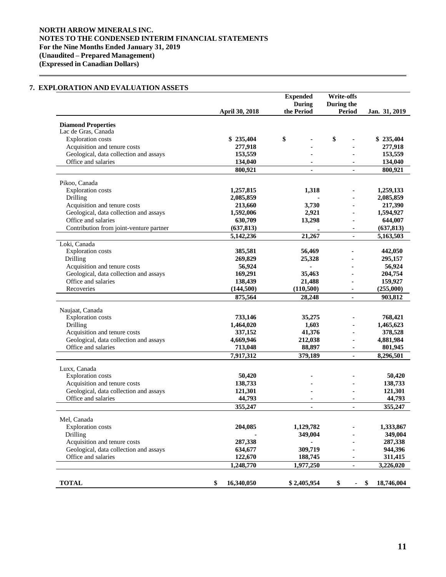# **NORTH ARROW MINERALS INC. NOTES TO THE CONDENSED INTERIM FINANCIAL STATEMENTS For the Nine Months Ended January 31, 2019 (Unaudited – Prepared Management) (Expressed in Canadian Dollars)**

# **7. EXPLORATION AND EVALUATION ASSETS**

|                                                               |                       | <b>Expended</b> | Write-offs     |                  |
|---------------------------------------------------------------|-----------------------|-----------------|----------------|------------------|
|                                                               |                       | <b>During</b>   | During the     |                  |
|                                                               | <b>April 30, 2018</b> | the Period      | <b>Period</b>  | Jan. 31, 2019    |
| <b>Diamond Properties</b>                                     |                       |                 |                |                  |
| Lac de Gras, Canada                                           |                       |                 |                |                  |
| <b>Exploration</b> costs                                      | \$235,404             | \$              | \$             | \$235,404        |
| Acquisition and tenure costs                                  | 277,918               |                 |                | 277,918          |
| Geological, data collection and assays                        | 153,559               |                 |                | 153,559          |
| Office and salaries                                           | 134,040               |                 |                | 134,040          |
|                                                               | 800,921               | $\blacksquare$  |                | 800,921          |
| Pikoo, Canada                                                 |                       |                 |                |                  |
| <b>Exploration</b> costs                                      | 1,257,815             | 1,318           |                | 1,259,133        |
| Drilling                                                      | 2,085,859             |                 |                | 2,085,859        |
| Acquisition and tenure costs                                  | 213,660               | 3,730           |                | 217,390          |
| Geological, data collection and assays                        | 1,592,006             | 2,921           |                | 1,594,927        |
| Office and salaries                                           | 630,709               | 13,298          | ٠              | 644,007          |
| Contribution from joint-venture partner                       | (637, 813)            |                 |                | (637, 813)       |
|                                                               | 5,142,236             | 21,267          | ٠              | 5,163,503        |
| Loki, Canada                                                  |                       |                 |                |                  |
| <b>Exploration</b> costs                                      | 385,581               | 56,469          |                | 442,050          |
| Drilling                                                      | 269,829               | 25,328          |                | 295,157          |
| Acquisition and tenure costs                                  | 56,924                |                 |                | 56,924           |
| Geological, data collection and assays                        | 169,291               | 35,463          |                | 204,754          |
| Office and salaries                                           | 138,439               | 21,488          |                | 159,927          |
| Recoveries                                                    | (144,500)             | (110,500)       |                | (255,000)        |
|                                                               | 875,564               | 28,248          | ٠              | 903,812          |
|                                                               |                       |                 |                |                  |
| Naujaat, Canada                                               |                       |                 |                |                  |
| <b>Exploration</b> costs                                      | 733,146               | 35,275          |                | 768,421          |
| Drilling                                                      | 1,464,020             | 1,603           |                | 1,465,623        |
| Acquisition and tenure costs                                  | 337,152               | 41,376          |                | 378,528          |
| Geological, data collection and assays<br>Office and salaries | 4,669,946             | 212,038         |                | 4,881,984        |
|                                                               | 713,048               | 88,897          |                | 801,945          |
|                                                               | 7,917,312             | 379,189         | $\blacksquare$ | 8,296,501        |
| Luxx, Canada                                                  |                       |                 |                |                  |
| <b>Exploration</b> costs                                      | 50,420                |                 |                | 50,420           |
| Acquisition and tenure costs                                  | 138,733               |                 |                | 138,733          |
| Geological, data collection and assays                        | 121,301               |                 |                | 121,301          |
| Office and salaries                                           | 44,793                |                 |                | 44,793           |
|                                                               | 355,247               | $\blacksquare$  | $\blacksquare$ | 355,247          |
| Mel, Canada                                                   |                       |                 |                |                  |
| <b>Exploration</b> costs                                      | 204,085               | 1,129,782       |                | 1,333,867        |
| Drilling                                                      |                       | 349,004         |                | 349,004          |
| Acquisition and tenure costs                                  | 287,338               |                 |                | 287,338          |
| Geological, data collection and assays                        | 634,677               | 309,719         |                | 944,396          |
| Office and salaries                                           | 122,670               | 188,745         |                | 311,415          |
|                                                               | 1,248,770             | 1,977,250       | ä,             | 3,226,020        |
|                                                               |                       |                 |                |                  |
| <b>TOTAL</b>                                                  | \$<br>16,340,050      | \$2,405,954     | \$<br>۰        | 18,746,004<br>\$ |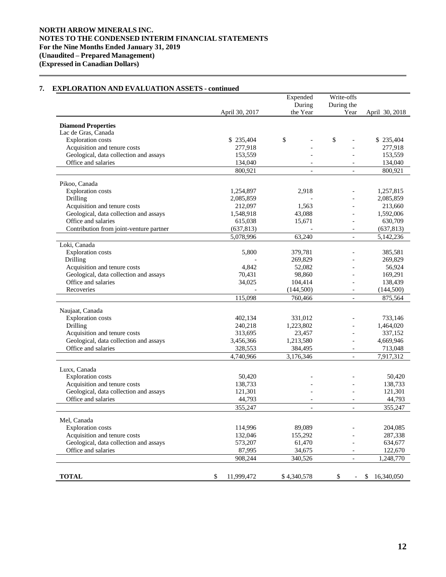### April 30, 2017 Expended During the Year Write-offs During the<br>Year April 30, 2018 **Diamond Properties** Lac de Gras, Canada Exploration costs \$ 235,404 \$  $\frac{1}{2}$  \$ 235,404 \$  $\frac{1}{2}$  \$ 235,404 \$  $\frac{1}{2}$  \$ 235,404 Acquisition and tenure costs 277,918 - 277,918 - 277,918 Geological, data collection and assays 153,559 - 153,559 - 153,559 - 153,559 - 153,559 - 153,559 - 153,659 - 153,659 - 153,659 - 153,659 - 153,659 - 153,659 - 153,659 - 153,659 - 153,659 - 154,040 - 154,040 - 154,040 - 154 Office and salaries 134,040 - 134,040 - 134,040 - 134,040 - 134,040 - 134,040 - 134,040 - 134,040 - 134,040 - 134,040 - 134,040 - 134,040 - 134,040 - 134,040 - 134,040 - 134,040 - 135,040 - 135,040 - 135,040 - 135,040 - 13 800,921 - 800,921 Pikoo, Canada Exploration costs 1,254,897 2,918 - 1,257,815 **Drilling 2,085,859** - 2,085,859 - 2,085,859 Acquisition and tenure costs 212,097 1,563 - 213,660 Geological, data collection and assays 1,548,918 43,088 - 1,592,006 Office and salaries 615,038 15,671 - 630,709 Contribution from joint-venture partner (637,813) (637,813) (637,813) 5,078,996 63,240 - 5,142,236 Loki, Canada Exploration costs 6,800 379,781 - 385,581 Drilling 269,829 - 269,829 - 269,829 - 269,829 - 269,829 - 269,829 - 269,829 - 269,829 - 269,829 - 269,829 - 269,829 Acquisition and tenure costs **4,842** 52,082 - 56,924 Geological, data collection and assays  $70,431$  98,860 - 169,291 Office and salaries 34,025 104,414 - 138,439 Recoveries (144,500) (144,500) (144,500) (144,500) 115,098 760,466 - 875,564 Naujaat, Canada Exploration costs 402,134 331,012 - 733,146 Drilling 240,218 1,223,802 - 1,464,020 Acquisition and tenure costs<br>
Geological, data collection and assays<br>  $3.456366$ <br>  $3.456366$ <br>  $1.213580$ <br>  $-4.669946$ Geological, data collection and assays 3,456,366 1,213,580 -Office and salaries 328,553 384,495 - 713,048 4,740,966 3,176,346 - 7,917,312 Luxx, Canada Exploration costs 50,420  $50,420$  - 50,420 Acquisition and tenure costs 138,733 138,733 138,733 Geological, data collection and assays 121,301 - 121,301 - 121,301 Office and salaries and salaries and salaries and salaries and salaries and salaries and  $44,793$  and  $44,793$  and  $44,793$  and  $44,793$  and  $44,793$  and  $44,793$  and  $44,793$  and  $44,793$  and  $44,793$  and  $44,793$  and  $44$ 355,247 - - 355,247 Mel, Canada Exploration costs 114,996 89,089 - 204,085 Acquisition and tenure costs 132,046 155,292 - 287,338 Geological, data collection and assays 6573,207 61,470 634,677 61,470 Office and salaries 87.995 34.675 - 122.670 908,244 340,526 - 1,248,770 **TOTAL** \$ 11,999,472 \$ 4,340,578 \$ - \$ 16,340,050

# **7. EXPLORATION AND EVALUATION ASSETS - continued**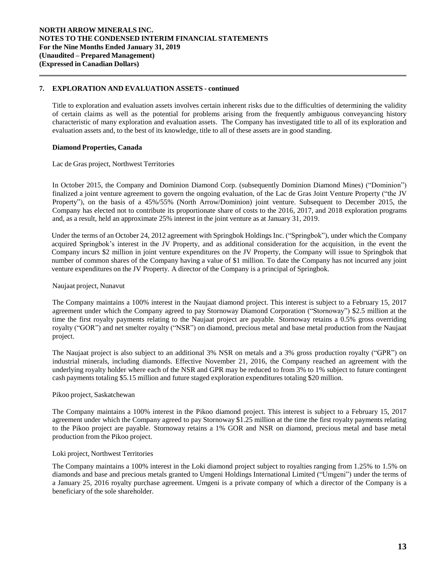## **7. EXPLORATION AND EVALUATION ASSETS - continued**

Title to exploration and evaluation assets involves certain inherent risks due to the difficulties of determining the validity of certain claims as well as the potential for problems arising from the frequently ambiguous conveyancing history characteristic of many exploration and evaluation assets. The Company has investigated title to all of its exploration and evaluation assets and, to the best of its knowledge, title to all of these assets are in good standing.

### **Diamond Properties, Canada**

Lac de Gras project, Northwest Territories

In October 2015, the Company and Dominion Diamond Corp. (subsequently Dominion Diamond Mines) ("Dominion") finalized a joint venture agreement to govern the ongoing evaluation, of the Lac de Gras Joint Venture Property ("the JV Property"), on the basis of a 45%/55% (North Arrow/Dominion) joint venture. Subsequent to December 2015, the Company has elected not to contribute its proportionate share of costs to the 2016, 2017, and 2018 exploration programs and, as a result, held an approximate 25% interest in the joint venture as at January 31, 2019.

Under the terms of an October 24, 2012 agreement with Springbok Holdings Inc. ("Springbok"), under which the Company acquired Springbok's interest in the JV Property, and as additional consideration for the acquisition, in the event the Company incurs \$2 million in joint venture expenditures on the JV Property, the Company will issue to Springbok that number of common shares of the Company having a value of \$1 million. To date the Company has not incurred any joint venture expenditures on the JV Property. A director of the Company is a principal of Springbok.

### Naujaat project, Nunavut

The Company maintains a 100% interest in the Naujaat diamond project. This interest is subject to a February 15, 2017 agreement under which the Company agreed to pay Stornoway Diamond Corporation ("Stornoway") \$2.5 million at the time the first royalty payments relating to the Naujaat project are payable. Stornoway retains a 0.5% gross overriding royalty ("GOR") and net smelter royalty ("NSR") on diamond, precious metal and base metal production from the Naujaat project.

The Naujaat project is also subject to an additional 3% NSR on metals and a 3% gross production royalty ("GPR") on industrial minerals, including diamonds. Effective November 21, 2016, the Company reached an agreement with the underlying royalty holder where each of the NSR and GPR may be reduced to from 3% to 1% subject to future contingent cash payments totaling \$5.15 million and future staged exploration expenditures totaling \$20 million.

### Pikoo project, Saskatchewan

The Company maintains a 100% interest in the Pikoo diamond project. This interest is subject to a February 15, 2017 agreement under which the Company agreed to pay Stornoway \$1.25 million at the time the first royalty payments relating to the Pikoo project are payable. Stornoway retains a 1% GOR and NSR on diamond, precious metal and base metal production from the Pikoo project.

### Loki project, Northwest Territories

The Company maintains a 100% interest in the Loki diamond project subject to royalties ranging from 1.25% to 1.5% on diamonds and base and precious metals granted to Umgeni Holdings International Limited ("Umgeni") under the terms of a January 25, 2016 royalty purchase agreement. Umgeni is a private company of which a director of the Company is a beneficiary of the sole shareholder.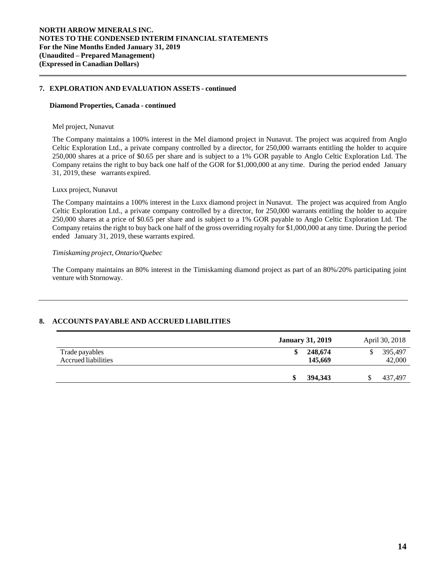### **7. EXPLORATION AND EVALUATION ASSETS - continued**

#### **Diamond Properties, Canada - continued**

#### Mel project, Nunavut

The Company maintains a 100% interest in the Mel diamond project in Nunavut. The project was acquired from Anglo Celtic Exploration Ltd., a private company controlled by a director, for 250,000 warrants entitling the holder to acquire 250,000 shares at a price of \$0.65 per share and is subject to a 1% GOR payable to Anglo Celtic Exploration Ltd. The Company retains the right to buy back one half of the GOR for \$1,000,000 at any time. During the period ended January 31, 2019, these warrants expired.

### Luxx project, Nunavut

The Company maintains a 100% interest in the Luxx diamond project in Nunavut. The project was acquired from Anglo Celtic Exploration Ltd., a private company controlled by a director, for 250,000 warrants entitling the holder to acquire 250,000 shares at a price of \$0.65 per share and is subject to a 1% GOR payable to Anglo Celtic Exploration Ltd. The Company retains the right to buy back one half of the gross overriding royalty for \$1,000,000 at any time. During the period ended January 31, 2019, these warrants expired.

## *Timiskaming project, Ontario/Quebec*

The Company maintains an 80% interest in the Timiskaming diamond project as part of an 80%/20% participating joint venture with Stornoway.

# **8. ACCOUNTS PAYABLE AND ACCRUED LIABILITIES**

|                                       | <b>January 31, 2019</b>  | April 30, 2018    |
|---------------------------------------|--------------------------|-------------------|
| Trade payables<br>Accrued liabilities | 248,674<br>\$<br>145,669 | 395,497<br>42,000 |
|                                       | 394,343<br>S             | \$<br>437,497     |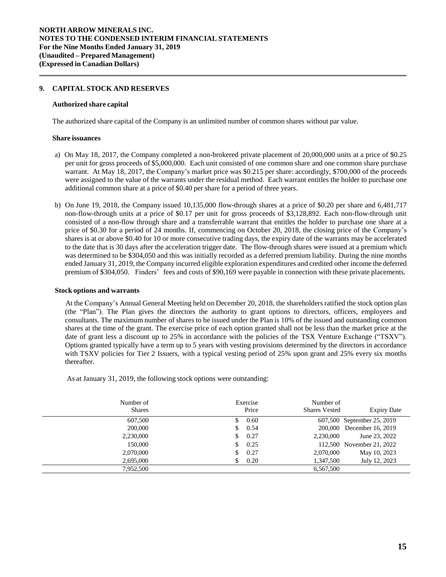### **9. CAPITAL STOCK AND RESERVES**

#### **Authorized share capital**

The authorized share capital of the Company is an unlimited number of common shares without par value.

#### **Share issuances**

- a) On May 18, 2017, the Company completed a non-brokered private placement of 20,000,000 units at a price of \$0.25 per unit for gross proceeds of \$5,000,000. Each unit consisted of one common share and one common share purchase warrant. At May 18, 2017, the Company's market price was \$0.215 per share: accordingly, \$700,000 of the proceeds were assigned to the value of the warrants under the residual method. Each warrant entitles the holder to purchase one additional common share at a price of \$0.40 per share for a period of three years.
- b) On June 19, 2018, the Company issued 10,135,000 flow-through shares at a price of \$0.20 per share and 6,481,717 non-flow-through units at a price of \$0.17 per unit for gross proceeds of \$3,128,892. Each non-flow-through unit consisted of a non-flow through share and a transferrable warrant that entitles the holder to purchase one share at a price of \$0.30 for a period of 24 months. If, commencing on October 20, 2018, the closing price of the Company's shares is at or above \$0.40 for 10 or more consecutive trading days, the expiry date of the warrants may be accelerated to the date that is 30 days after the acceleration trigger date. The flow-through shares were issued at a premium which was determined to be \$304,050 and this was initially recorded as a deferred premium liability. During the nine months ended January 31, 2019, the Company incurred eligible exploration expenditures and credited other income the deferred premium of \$304,050. Finders' fees and costs of \$90,169 were payable in connection with these private placements.

#### **Stock options and warrants**

At the Company's Annual General Meeting held on December 20, 2018, the shareholders ratified the stock option plan (the "Plan"). The Plan gives the directors the authority to grant options to directors, officers, employees and consultants. The maximum number of shares to be issued under the Plan is 10% of the issued and outstanding common shares at the time of the grant. The exercise price of each option granted shall not be less than the market price at the date of grant less a discount up to 25% in accordance with the policies of the TSX Venture Exchange ("TSXV"). Options granted typically have a term up to 5 years with vesting provisions determined by the directors in accordance with TSXV policies for Tier 2 Issuers, with a typical vesting period of 25% upon grant and 25% every six months thereafter.

As at January 31, 2019, the following stock options were outstanding:

| Number of<br><b>Shares</b> | Exercise<br>Price | Number of<br><b>Shares Vested</b> | <b>Expiry Date</b>         |
|----------------------------|-------------------|-----------------------------------|----------------------------|
| 607,500                    | \$ 0.60           |                                   | 607,500 September 25, 2019 |
| 200,000                    | \$0.54            |                                   | 200,000 December 16, 2019  |
| 2,230,000                  | 0.27<br>\$        | 2.230,000                         | June 23, 2022              |
| 150,000                    | 0.25<br>\$        |                                   | 112,500 November 21, 2022  |
| 2,070,000                  | 0.27              | 2,070,000                         | May 10, 2023               |
| 2,695,000                  | 0.20              | 1,347,500                         | July 12, 2023              |
| 7,952,500                  |                   | 6,567,500                         |                            |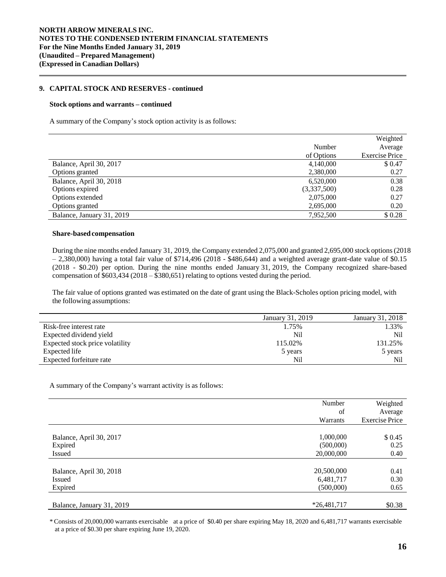### **9. CAPITAL STOCK AND RESERVES - continued**

#### **Stock options and warrants – continued**

A summary of the Company's stock option activity is as follows:

|                           |             | Weighted              |
|---------------------------|-------------|-----------------------|
|                           | Number      | Average               |
|                           | of Options  | <b>Exercise Price</b> |
| Balance, April 30, 2017   | 4,140,000   | \$0.47                |
| Options granted           | 2,380,000   | 0.27                  |
| Balance, April 30, 2018   | 6.520,000   | 0.38                  |
| Options expired           | (3,337,500) | 0.28                  |
| Options extended          | 2,075,000   | 0.27                  |
| Options granted           | 2,695,000   | 0.20                  |
| Balance, January 31, 2019 | 7,952,500   | \$0.28                |

#### **Share-based compensation**

During the nine months ended January 31, 2019, the Company extended 2,075,000 and granted 2,695,000 stock options(2018  $-2,380,000$ ) having a total fair value of \$714,496 (2018 - \$486,644) and a weighted average grant-date value of \$0.15 (2018 - \$0.20) per option. During the nine months ended January 31, 2019, the Company recognized share-based compensation of \$603,434 (2018 – \$380,651) relating to options vested during the period.

The fair value of options granted was estimated on the date of grant using the Black-Scholes option pricing model, with the following assumptions:

|                                 | January 31, 2019 | January 31, 2018 |
|---------------------------------|------------------|------------------|
| Risk-free interest rate         | 1.75%            | 1.33%            |
| Expected dividend yield         | Nil              | N <sub>i</sub>   |
| Expected stock price volatility | 115.02%          | 131.25%          |
| Expected life                   | 5 years          | 5 years          |
| Expected forfeiture rate        | Nil              | Nil              |

A summary of the Company's warrant activity is as follows:

|                           | Number<br>of<br>Warrants | Weighted<br>Average<br><b>Exercise Price</b> |
|---------------------------|--------------------------|----------------------------------------------|
| Balance, April 30, 2017   | 1,000,000                | \$0.45                                       |
| Expired                   | (500,000)                | 0.25                                         |
| Issued                    | 20,000,000               | 0.40                                         |
| Balance, April 30, 2018   | 20,500,000               | 0.41                                         |
| <b>Issued</b>             | 6,481,717                | 0.30                                         |
| Expired                   | (500,000)                | 0.65                                         |
| Balance, January 31, 2019 | $*26,481,717$            | \$0.38                                       |

\* Consists of 20,000,000 warrants exercisable at a price of \$0.40 per share expiring May 18, 2020 and 6,481,717 warrants exercisable at a price of \$0.30 per share expiring June 19, 2020.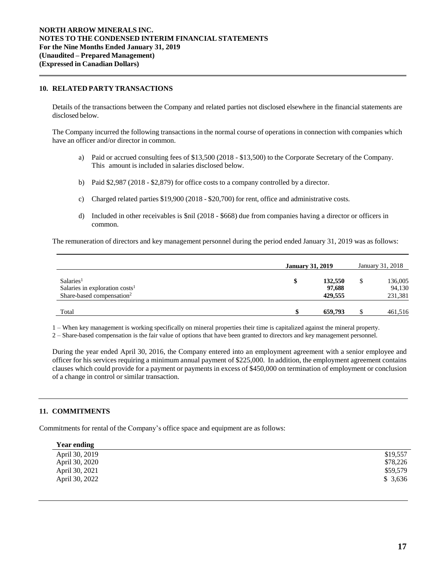### **10. RELATED PARTY TRANSACTIONS**

Details of the transactions between the Company and related parties not disclosed elsewhere in the financial statements are disclosed below.

The Company incurred the following transactions in the normal course of operations in connection with companies which have an officer and/or director in common.

- a) Paid or accrued consulting fees of \$13,500 (2018 \$13,500) to the Corporate Secretary of the Company. This amount is included in salaries disclosed below.
- b) Paid \$2,987 (2018 \$2,879) for office costs to a company controlled by a director.
- c) Charged related parties \$19,900 (2018 \$20,700) for rent, office and administrative costs.
- d) Included in other receivables is \$nil (2018 \$668) due from companies having a director or officers in common.

The remuneration of directors and key management personnel during the period ended January 31, 2019 was as follows:

|                                                                                                              | <b>January 31, 2019</b> |                              | January 31, 2018             |
|--------------------------------------------------------------------------------------------------------------|-------------------------|------------------------------|------------------------------|
| Salaries <sup>1</sup><br>Salaries in exploration costs <sup>1</sup><br>Share-based compensation <sup>2</sup> | \$                      | 132,550<br>97.688<br>429.555 | 136,005<br>94,130<br>231,381 |
| Total                                                                                                        |                         | 659,793                      | 461,516                      |

1 – When key management is working specifically on mineral properties their time is capitalized against the mineral property.

2 – Share-based compensation is the fair value of options that have been granted to directors and key management personnel.

During the year ended April 30, 2016, the Company entered into an employment agreement with a senior employee and officer for his services requiring a minimum annual payment of \$225,000. In addition, the employment agreement contains clauses which could provide for a payment or payments in excess of \$450,000 on termination of employment or conclusion of a change in control or similar transaction.

# **11. COMMITMENTS**

Commitments for rental of the Company's office space and equipment are as follows:

| <b>Year ending</b> |          |
|--------------------|----------|
| April 30, 2019     | \$19,557 |
| April 30, 2020     | \$78,226 |
| April 30, 2021     | \$59,579 |
| April 30, 2022     | \$3,636  |
|                    |          |